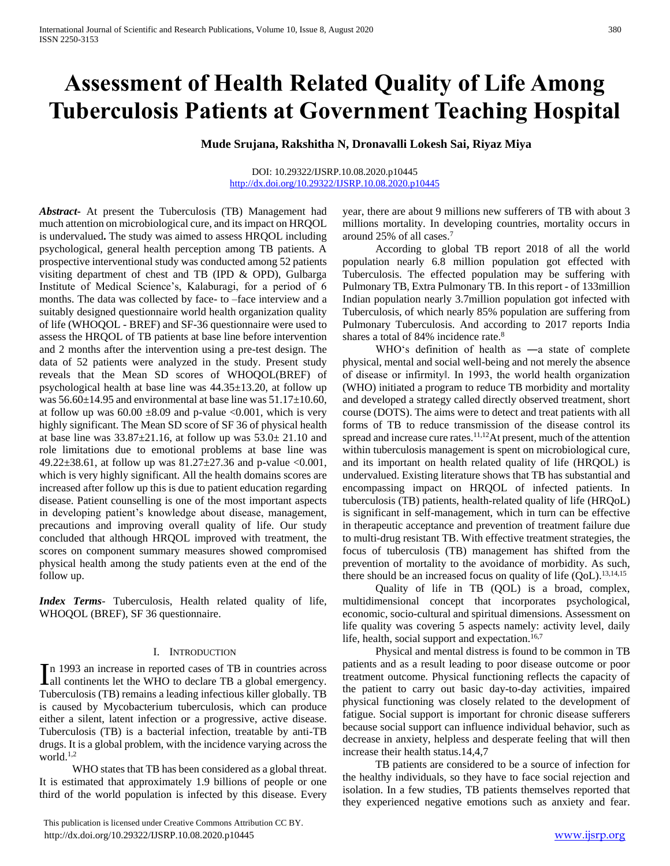# **Assessment of Health Related Quality of Life Among Tuberculosis Patients at Government Teaching Hospital**

**Mude Srujana, Rakshitha N, Dronavalli Lokesh Sai, Riyaz Miya**

#### DOI: 10.29322/IJSRP.10.08.2020.p10445 <http://dx.doi.org/10.29322/IJSRP.10.08.2020.p10445>

*Abstract***-** At present the Tuberculosis (TB) Management had much attention on microbiological cure, and its impact on HRQOL is undervalued**.** The study was aimed to assess HRQOL including psychological, general health perception among TB patients. A prospective interventional study was conducted among 52 patients visiting department of chest and TB (IPD & OPD), Gulbarga Institute of Medical Science's, Kalaburagi, for a period of 6 months. The data was collected by face- to –face interview and a suitably designed questionnaire world health organization quality of life (WHOQOL - BREF) and SF-36 questionnaire were used to assess the HRQOL of TB patients at base line before intervention and 2 months after the intervention using a pre-test design. The data of 52 patients were analyzed in the study. Present study reveals that the Mean SD scores of WHOQOL(BREF) of psychological health at base line was 44.35±13.20, at follow up was  $56.60\pm14.95$  and environmental at base line was  $51.17\pm10.60$ , at follow up was  $60.00 \pm 8.09$  and p-value <0.001, which is very highly significant. The Mean SD score of SF 36 of physical health at base line was  $33.87\pm21.16$ , at follow up was  $53.0\pm21.10$  and role limitations due to emotional problems at base line was 49.22±38.61, at follow up was 81.27±27.36 and p-value <0.001, which is very highly significant. All the health domains scores are increased after follow up this is due to patient education regarding disease. Patient counselling is one of the most important aspects in developing patient's knowledge about disease, management, precautions and improving overall quality of life. Our study concluded that although HRQOL improved with treatment, the scores on component summary measures showed compromised physical health among the study patients even at the end of the follow up.

*Index Terms*- Tuberculosis, Health related quality of life, WHOQOL (BREF), SF 36 questionnaire.

## I. INTRODUCTION

n 1993 an increase in reported cases of TB in countries across In 1993 an increase in reported cases of TB in countries across<br>all continents let the WHO to declare TB a global emergency. Tuberculosis (TB) remains a leading infectious killer globally. TB is caused by Mycobacterium tuberculosis, which can produce either a silent, latent infection or a progressive, active disease. Tuberculosis (TB) is a bacterial infection, treatable by anti-TB drugs. It is a global problem, with the incidence varying across the world. $1,2$ 

 WHO states that TB has been considered as a global threat. It is estimated that approximately 1.9 billions of people or one third of the world population is infected by this disease. Every

 This publication is licensed under Creative Commons Attribution CC BY. http://dx.doi.org/10.29322/IJSRP.10.08.2020.p10445 [www.ijsrp.org](http://ijsrp.org/)

year, there are about 9 millions new sufferers of TB with about 3 millions mortality. In developing countries, mortality occurs in around 25% of all cases.<sup>7</sup>

 According to global TB report 2018 of all the world population nearly 6.8 million population got effected with Tuberculosis. The effected population may be suffering with Pulmonary TB, Extra Pulmonary TB. In this report - of 133million Indian population nearly 3.7million population got infected with Tuberculosis, of which nearly 85% population are suffering from Pulmonary Tuberculosis. And according to 2017 reports India shares a total of 84% incidence rate.<sup>8</sup>

WHO's definition of health as —a state of complete physical, mental and social well-being and not merely the absence of disease or infirmity‖. In 1993, the world health organization (WHO) initiated a program to reduce TB morbidity and mortality and developed a strategy called directly observed treatment, short course (DOTS). The aims were to detect and treat patients with all forms of TB to reduce transmission of the disease control its spread and increase cure rates.<sup>11,12</sup>At present, much of the attention within tuberculosis management is spent on microbiological cure, and its important on health related quality of life (HRQOL) is undervalued. Existing literature shows that TB has substantial and encompassing impact on HRQOL of infected patients. In tuberculosis (TB) patients, health-related quality of life (HRQoL) is significant in self-management, which in turn can be effective in therapeutic acceptance and prevention of treatment failure due to multi-drug resistant TB. With effective treatment strategies, the focus of tuberculosis (TB) management has shifted from the prevention of mortality to the avoidance of morbidity. As such, there should be an increased focus on quality of life  $(QoL)$ .<sup>13,14,15</sup>

 Quality of life in TB (QOL) is a broad, complex, multidimensional concept that incorporates psychological, economic, socio-cultural and spiritual dimensions. Assessment on life quality was covering 5 aspects namely: activity level, daily life, health, social support and expectation. $16,7$ 

 Physical and mental distress is found to be common in TB patients and as a result leading to poor disease outcome or poor treatment outcome. Physical functioning reflects the capacity of the patient to carry out basic day-to-day activities, impaired physical functioning was closely related to the development of fatigue. Social support is important for chronic disease sufferers because social support can influence individual behavior, such as decrease in anxiety, helpless and desperate feeling that will then increase their health status.14,4,7

 TB patients are considered to be a source of infection for the healthy individuals, so they have to face social rejection and isolation. In a few studies, TB patients themselves reported that they experienced negative emotions such as anxiety and fear.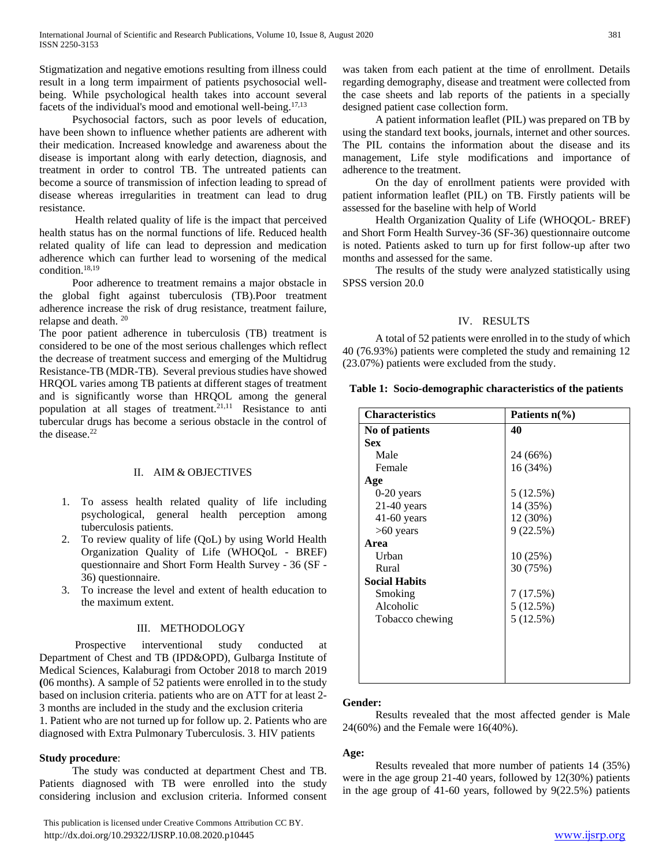Stigmatization and negative emotions resulting from illness could result in a long term impairment of patients psychosocial wellbeing. While psychological health takes into account several facets of the individual's mood and emotional well-being.17,13

 Psychosocial factors, such as poor levels of education, have been shown to influence whether patients are adherent with their medication. Increased knowledge and awareness about the disease is important along with early detection, diagnosis, and treatment in order to control TB. The untreated patients can become a source of transmission of infection leading to spread of disease whereas irregularities in treatment can lead to drug resistance.

 Health related quality of life is the impact that perceived health status has on the normal functions of life. Reduced health related quality of life can lead to depression and medication adherence which can further lead to worsening of the medical condition.<sup>18,19</sup>

 Poor adherence to treatment remains a major obstacle in the global fight against tuberculosis (TB).Poor treatment adherence increase the risk of drug resistance, treatment failure, relapse and death. <sup>20</sup>

The poor patient adherence in tuberculosis (TB) treatment is considered to be one of the most serious challenges which reflect the decrease of treatment success and emerging of the Multidrug Resistance-TB (MDR-TB). Several previous studies have showed HRQOL varies among TB patients at different stages of treatment and is significantly worse than HRQOL among the general population at all stages of treatment.<sup>21,11</sup> Resistance to anti tubercular drugs has become a serious obstacle in the control of the disease.<sup>22</sup>

# II. AIM & OBJECTIVES

- 1. To assess health related quality of life including psychological, general health perception among tuberculosis patients.
- 2. To review quality of life (QoL) by using World Health Organization Quality of Life (WHOQoL - BREF) questionnaire and Short Form Health Survey - 36 (SF - 36) questionnaire.
- 3. To increase the level and extent of health education to the maximum extent.

## III. METHODOLOGY

 Prospective interventional study conducted at Department of Chest and TB (IPD&OPD), Gulbarga Institute of Medical Sciences, Kalaburagi from October 2018 to march 2019 **(**06 months). A sample of 52 patients were enrolled in to the study based on inclusion criteria. patients who are on ATT for at least 2- 3 months are included in the study and the exclusion criteria 1. Patient who are not turned up for follow up. 2. Patients who are diagnosed with Extra Pulmonary Tuberculosis. 3. HIV patients

## **Study procedure**:

 The study was conducted at department Chest and TB. Patients diagnosed with TB were enrolled into the study considering inclusion and exclusion criteria. Informed consent

 This publication is licensed under Creative Commons Attribution CC BY. http://dx.doi.org/10.29322/IJSRP.10.08.2020.p10445 [www.ijsrp.org](http://ijsrp.org/)

was taken from each patient at the time of enrollment. Details regarding demography, disease and treatment were collected from the case sheets and lab reports of the patients in a specially designed patient case collection form.

 A patient information leaflet (PIL) was prepared on TB by using the standard text books, journals, internet and other sources. The PIL contains the information about the disease and its management, Life style modifications and importance of adherence to the treatment.

 On the day of enrollment patients were provided with patient information leaflet (PIL) on TB. Firstly patients will be assessed for the baseline with help of World

 Health Organization Quality of Life (WHOQOL- BREF) and Short Form Health Survey-36 (SF-36) questionnaire outcome is noted. Patients asked to turn up for first follow-up after two months and assessed for the same.

 The results of the study were analyzed statistically using SPSS version 20.0

# IV. RESULTS

 A total of 52 patients were enrolled in to the study of which 40 (76.93%) patients were completed the study and remaining 12 (23.07%) patients were excluded from the study.

|  | Table 1: Socio-demographic characteristics of the patients |  |  |  |
|--|------------------------------------------------------------|--|--|--|
|--|------------------------------------------------------------|--|--|--|

| <b>Characteristics</b> | Patients $n\frac{6}{6}$ |
|------------------------|-------------------------|
| No of patients         | 40                      |
| <b>Sex</b>             |                         |
| Male                   | 24 (66%)                |
| Female                 | 16 (34%)                |
| Age                    |                         |
| $0-20$ years           | 5(12.5%)                |
| $21-40$ years          | 14 (35%)                |
| $41-60$ years          | 12 (30%)                |
| $>60$ years            | 9(22.5%)                |
| Area                   |                         |
| Urban                  | 10(25%)                 |
| Rural                  | 30 (75%)                |
| <b>Social Habits</b>   |                         |
| Smoking                | 7 (17.5%)               |
| Alcoholic              | 5 (12.5%)               |
| Tobacco chewing        | 5(12.5%)                |
|                        |                         |
|                        |                         |
|                        |                         |
|                        |                         |
|                        |                         |

# **Gender:**

 Results revealed that the most affected gender is Male 24(60%) and the Female were 16(40%).

## **Age:**

 Results revealed that more number of patients 14 (35%) were in the age group 21-40 years, followed by 12(30%) patients in the age group of 41-60 years, followed by 9(22.5%) patients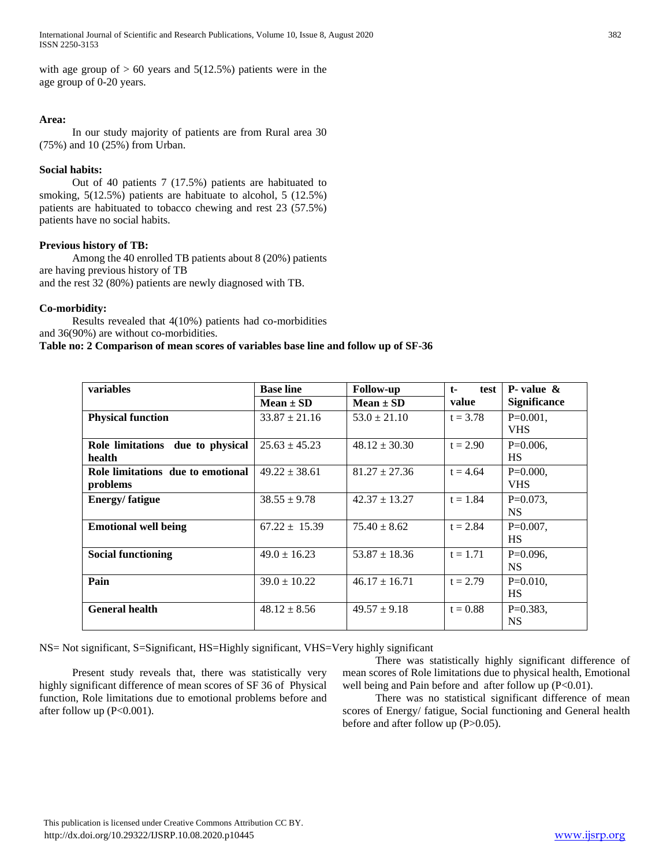International Journal of Scientific and Research Publications, Volume 10, Issue 8, August 2020 382 ISSN 2250-3153

with age group of  $> 60$  years and  $5(12.5\%)$  patients were in the age group of 0-20 years.

#### **Area:**

 In our study majority of patients are from Rural area 30 (75%) and 10 (25%) from Urban.

#### **Social habits:**

 Out of 40 patients 7 (17.5%) patients are habituated to smoking, 5(12.5%) patients are habituate to alcohol, 5 (12.5%) patients are habituated to tobacco chewing and rest 23 (57.5%) patients have no social habits.

# **Previous history of TB:**

 Among the 40 enrolled TB patients about 8 (20%) patients are having previous history of TB and the rest 32 (80%) patients are newly diagnosed with TB.

#### **Co-morbidity:**

 Results revealed that 4(10%) patients had co-morbidities and 36(90%) are without co-morbidities.

#### **Table no: 2 Comparison of mean scores of variables base line and follow up of SF-36**

| variables                                  | <b>Base line</b>  | <b>Follow-up</b>  | $t-$<br>test | <b>P</b> -value $\&$ |
|--------------------------------------------|-------------------|-------------------|--------------|----------------------|
|                                            | $Mean \pm SD$     | $Mean \pm SD$     | value        | <b>Significance</b>  |
| <b>Physical function</b>                   | $33.87 \pm 21.16$ | $53.0 \pm 21.10$  | $t = 3.78$   | $P=0.001$ ,          |
|                                            |                   |                   |              | <b>VHS</b>           |
| due to physical<br><b>Role limitations</b> | $25.63 \pm 45.23$ | $48.12 \pm 30.30$ | $t = 2.90$   | $P=0.006$ ,          |
| health                                     |                   |                   |              | <b>HS</b>            |
| Role limitations due to emotional          | $49.22 \pm 38.61$ | $81.27 \pm 27.36$ | $t = 4.64$   | $P=0.000,$           |
| problems                                   |                   |                   |              | <b>VHS</b>           |
| <b>Energy/fatigue</b>                      | $38.55 \pm 9.78$  | $42.37 \pm 13.27$ | $t = 1.84$   | $P=0.073$ .          |
|                                            |                   |                   |              | <b>NS</b>            |
| <b>Emotional well being</b>                | $67.22 \pm 15.39$ | $75.40 \pm 8.62$  | $t = 2.84$   | $P=0.007$ ,          |
|                                            |                   |                   |              | <b>HS</b>            |
| <b>Social functioning</b>                  | $49.0 \pm 16.23$  | $53.87 \pm 18.36$ | $t = 1.71$   | $P=0.096$ ,          |
|                                            |                   |                   |              | <b>NS</b>            |
| Pain                                       | $39.0 \pm 10.22$  | $46.17 \pm 16.71$ | $t = 2.79$   | $P=0.010$ ,          |
|                                            |                   |                   |              | <b>HS</b>            |
| <b>General health</b>                      | $48.12 \pm 8.56$  | $49.57 \pm 9.18$  | $t = 0.88$   | $P=0.383,$           |
|                                            |                   |                   |              | <b>NS</b>            |

NS= Not significant, S=Significant, HS=Highly significant, VHS=Very highly significant

 Present study reveals that, there was statistically very highly significant difference of mean scores of SF 36 of Physical function, Role limitations due to emotional problems before and after follow up (P<0.001).

 There was statistically highly significant difference of mean scores of Role limitations due to physical health, Emotional well being and Pain before and after follow up (P<0.01).

 There was no statistical significant difference of mean scores of Energy/ fatigue, Social functioning and General health before and after follow up (P>0.05).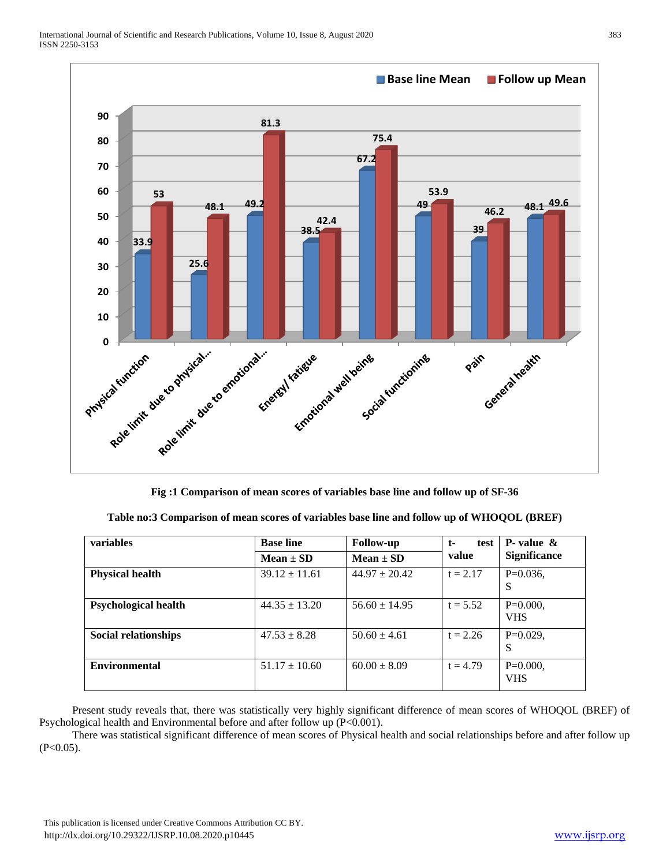

**Fig :1 Comparison of mean scores of variables base line and follow up of SF-36**

| Table no:3 Comparison of mean scores of variables base line and follow up of WHOQOL (BREF) |  |  |                                    |  |  |
|--------------------------------------------------------------------------------------------|--|--|------------------------------------|--|--|
|                                                                                            |  |  | $\sim$ $\sim$ $\sim$ $\sim$ $\sim$ |  |  |

| <b>variables</b>            | <b>Base line</b><br><b>Follow-up</b> |                   | test<br>$t-$ | <b>P</b> -value $\&$      |  |
|-----------------------------|--------------------------------------|-------------------|--------------|---------------------------|--|
|                             | $Mean \pm SD$                        | $Mean \pm SD$     | value        | <b>Significance</b>       |  |
| <b>Physical health</b>      | $39.12 \pm 11.61$                    | $44.97 \pm 20.42$ | $t = 2.17$   | $P=0.036$ ,<br>S          |  |
| <b>Psychological health</b> | $44.35 \pm 13.20$                    | $56.60 \pm 14.95$ | $t = 5.52$   | $P=0.000$ .<br><b>VHS</b> |  |
| <b>Social relationships</b> | $47.53 \pm 8.28$                     | $50.60 \pm 4.61$  | $t = 2.26$   | $P=0.029$ .<br>S          |  |
| <b>Environmental</b>        | $51.17 \pm 10.60$                    | $60.00 \pm 8.09$  | $t = 4.79$   | $P=0.000,$<br><b>VHS</b>  |  |

 Present study reveals that, there was statistically very highly significant difference of mean scores of WHOQOL (BREF) of Psychological health and Environmental before and after follow up (P<0.001).

 There was statistical significant difference of mean scores of Physical health and social relationships before and after follow up  $(P<0.05)$ .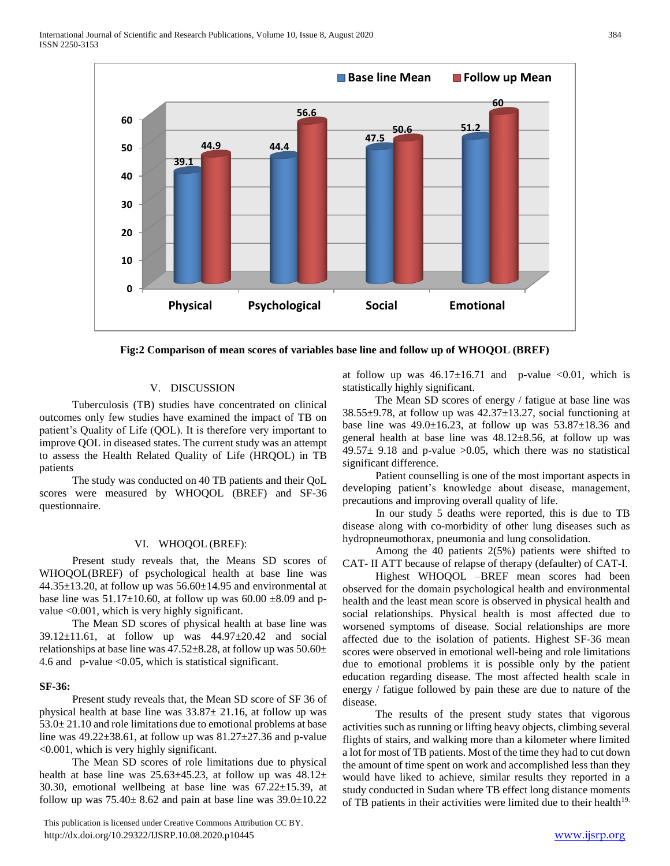

**Fig:2 Comparison of mean scores of variables base line and follow up of WHOQOL (BREF)**

## V. DISCUSSION

 Tuberculosis (TB) studies have concentrated on clinical outcomes only few studies have examined the impact of TB on patient's Quality of Life (QOL). It is therefore very important to improve QOL in diseased states. The current study was an attempt to assess the Health Related Quality of Life (HRQOL) in TB patients

 The study was conducted on 40 TB patients and their QoL scores were measured by WHOQOL (BREF) and SF-36 questionnaire.

# VI. WHOQOL (BREF):

 Present study reveals that, the Means SD scores of WHOQOL(BREF) of psychological health at base line was  $44.35\pm13.20$ , at follow up was  $56.60\pm14.95$  and environmental at base line was  $51.17 \pm 10.60$ , at follow up was  $60.00 \pm 8.09$  and pvalue <0.001, which is very highly significant.

 The Mean SD scores of physical health at base line was 39.12±11.61, at follow up was 44.97±20.42 and social relationships at base line was  $47.52 \pm 8.28$ , at follow up was  $50.60 \pm$ 4.6 and p-value <0.05, which is statistical significant.

#### **SF-36:**

 Present study reveals that, the Mean SD score of SF 36 of physical health at base line was 33.87± 21.16, at follow up was 53.0± 21.10 and role limitations due to emotional problems at base line was  $49.22 \pm 38.61$ , at follow up was  $81.27 \pm 27.36$  and p-value <0.001, which is very highly significant.

 The Mean SD scores of role limitations due to physical health at base line was  $25.63\pm45.23$ , at follow up was  $48.12\pm$ 30.30, emotional wellbeing at base line was 67.22±15.39, at follow up was  $75.40 \pm 8.62$  and pain at base line was  $39.0 \pm 10.22$ 

 This publication is licensed under Creative Commons Attribution CC BY. http://dx.doi.org/10.29322/IJSRP.10.08.2020.p10445 [www.ijsrp.org](http://ijsrp.org/)

at follow up was  $46.17 \pm 16.71$  and p-value <0.01, which is statistically highly significant.

 The Mean SD scores of energy / fatigue at base line was  $38.55\pm9.78$ , at follow up was  $42.37\pm13.27$ , social functioning at base line was  $49.0 \pm 16.23$ , at follow up was  $53.87 \pm 18.36$  and general health at base line was 48.12±8.56, at follow up was 49.57 $\pm$  9.18 and p-value >0.05, which there was no statistical significant difference.

 Patient counselling is one of the most important aspects in developing patient's knowledge about disease, management, precautions and improving overall quality of life.

 In our study 5 deaths were reported, this is due to TB disease along with co-morbidity of other lung diseases such as hydropneumothorax, pneumonia and lung consolidation.

 Among the 40 patients 2(5%) patients were shifted to CAT- II ATT because of relapse of therapy (defaulter) of CAT-I.

 Highest WHOQOL –BREF mean scores had been observed for the domain psychological health and environmental health and the least mean score is observed in physical health and social relationships. Physical health is most affected due to worsened symptoms of disease. Social relationships are more affected due to the isolation of patients. Highest SF-36 mean scores were observed in emotional well-being and role limitations due to emotional problems it is possible only by the patient education regarding disease. The most affected health scale in energy / fatigue followed by pain these are due to nature of the disease.

 The results of the present study states that vigorous activities such as running or lifting heavy objects, climbing several flights of stairs, and walking more than a kilometer where limited a lot for most of TB patients. Most of the time they had to cut down the amount of time spent on work and accomplished less than they would have liked to achieve, similar results they reported in a study conducted in Sudan where TB effect long distance moments of TB patients in their activities were limited due to their health<sup>19.</sup>